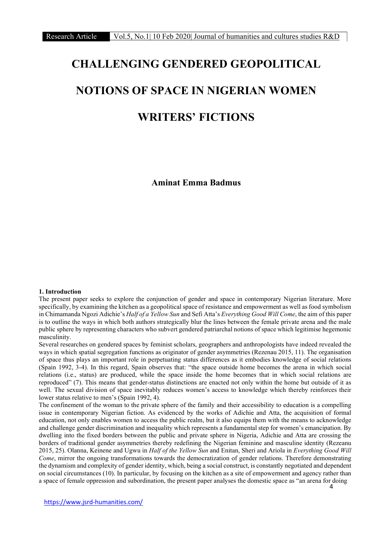# CHALLENGING GENDERED GEOPOLITICAL NOTIONS OF SPACE IN NIGERIAN WOMEN WRITERS' FICTIONS

Aminat Emma Badmus

#### 1. Introduction

The present paper seeks to explore the conjunction of gender and space in contemporary Nigerian literature. More specifically, by examining the kitchen as a geopolitical space of resistance and empowerment as well as food symbolism in Chimamanda Ngozi Adichie's Half of a Yellow Sun and Sefi Atta's Everything Good Will Come, the aim of this paper is to outline the ways in which both authors strategically blur the lines between the female private arena and the male public sphere by representing characters who subvert gendered patriarchal notions of space which legitimise hegemonic masculinity.

Several researches on gendered spaces by feminist scholars, geographers and anthropologists have indeed revealed the ways in which spatial segregation functions as originator of gender asymmetries (Rezenau 2015, 11). The organisation of space thus plays an important role in perpetuating status differences as it embodies knowledge of social relations (Spain 1992, 3-4). In this regard, Spain observes that: "the space outside home becomes the arena in which social relations (i.e., status) are produced, while the space inside the home becomes that in which social relations are reproduced" (7). This means that gender-status distinctions are enacted not only within the home but outside of it as well. The sexual division of space inevitably reduces women's access to knowledge which thereby reinforces their lower status relative to men's (Spain 1992, 4).

The confinement of the woman to the private sphere of the family and their accessibility to education is a compelling issue in contemporary Nigerian fiction. As evidenced by the works of Adichie and Atta, the acquisition of formal education, not only enables women to access the public realm, but it also equips them with the means to acknowledge and challenge gender discrimination and inequality which represents a fundamental step for women's emancipation. By dwelling into the fixed borders between the public and private sphere in Nigeria, Adichie and Atta are crossing the borders of traditional gender asymmetries thereby redefining the Nigerian feminine and masculine identity (Rezeanu 2015, 25). Olanna, Keinene and Ugwu in Half of the Yellow Sun and Enitan, Sheri and Ariola in Everything Good Will Come, mirror the ongoing transformations towards the democratization of gender relations. Therefore demonstrating the dynamism and complexity of gender identity, which, being a social construct, is constantly negotiated and dependent on social circumstances (10). In particular, by focusing on the kitchen as a site of empowerment and agency rather than a space of female oppression and subordination, the present paper analyses the domestic space as "an arena for doing

https://www.jsrd-humanities.com/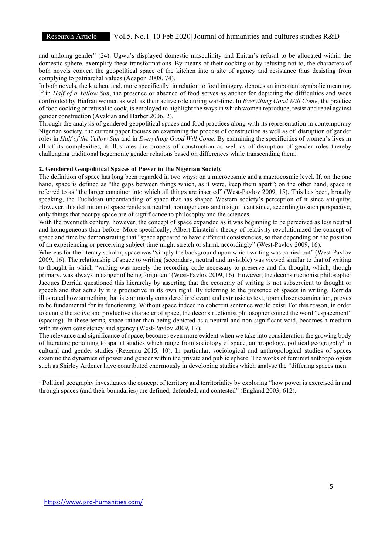and undoing gender" (24). Ugwu's displayed domestic masculinity and Enitan's refusal to be allocated within the domestic sphere, exemplify these transformations. By means of their cooking or by refusing not to, the characters of both novels convert the geopolitical space of the kitchen into a site of agency and resistance thus desisting from complying to patriarchal values (Adapon 2008, 74).

In both novels, the kitchen, and, more specifically, in relation to food imagery, denotes an important symbolic meaning. If in Half of a Yellow Sun, the presence or absence of food serves as anchor for depicting the difficulties and woes confronted by Biafran women as well as their active role during war-time. In Everything Good Will Come, the practice of food cooking or refusal to cook, is employed to highlight the ways in which women reproduce, resist and rebel against gender construction (Avakian and Harber 2006, 2).

Through the analysis of gendered geopolitical spaces and food practices along with its representation in contemporary Nigerian society, the current paper focuses on examining the process of construction as well as of disruption of gender roles in Half of the Yellow Sun and in Everything Good Will Come. By examining the specificities of women's lives in all of its complexities, it illustrates the process of construction as well as of disruption of gender roles thereby challenging traditional hegemonic gender relations based on differences while transcending them.

#### 2. Gendered Geopolitical Spaces of Power in the Nigerian Society

The definition of space has long been regarded in two ways: on a microcosmic and a macrocosmic level. If, on the one hand, space is defined as "the gaps between things which, as it were, keep them apart"; on the other hand, space is referred to as "the larger container into which all things are inserted" (West-Pavlov 2009, 15). This has been, broadly speaking, the Euclidean understanding of space that has shaped Western society's perception of it since antiquity. However, this definition of space renders it neutral, homogeneous and insignificant since, according to such perspective, only things that occupy space are of significance to philosophy and the sciences.

With the twentieth century, however, the concept of space expanded as it was beginning to be perceived as less neutral and homogeneous than before. More specifically, Albert Einstein's theory of relativity revolutionized the concept of space and time by demonstrating that "space appeared to have different consistencies, so that depending on the position of an experiencing or perceiving subject time might stretch or shrink accordingly" (West-Pavlov 2009, 16).

Whereas for the literary scholar, space was "simply the background upon which writing was carried out" (West-Pavlov 2009, 16). The relationship of space to writing (secondary, neutral and invisible) was viewed similar to that of writing to thought in which "writing was merely the recording code necessary to preserve and fix thought, which, though primary, was always in danger of being forgotten" (West-Pavlov 2009, 16). However, the deconstructionist philosopher Jacques Derrida questioned this hierarchy by asserting that the economy of writing is not subservient to thought or speech and that actually it is productive in its own right. By referring to the presence of spaces in writing, Derrida illustrated how something that is commonly considered irrelevant and extrinsic to text, upon closer examination, proves to be fundamental for its functioning. Without space indeed no coherent sentence would exist. For this reason, in order to denote the active and productive character of space, the deconstructionist philosopher coined the word "espacement" (spacing). In these terms, space rather than being depicted as a neutral and non-significant void, becomes a medium with its own consistency and agency (West-Pavlov 2009, 17).

The relevance and significance of space, becomes even more evident when we take into consideration the growing body of literature pertaining to spatial studies which range from sociology of space, anthropology, political geogragphy<sup>1</sup> to cultural and gender studies (Rezenau 2015, 10). In particular, sociological and anthropological studies of spaces examine the dynamics of power and gender within the private and public sphere. The works of feminist anthropologists such as Shirley Ardener have contributed enormously in developing studies which analyse the "differing spaces men

<sup>&</sup>lt;sup>1</sup> Political geography investigates the concept of territory and territoriality by exploring "how power is exercised in and through spaces (and their boundaries) are defined, defended, and contested" (England 2003, 612).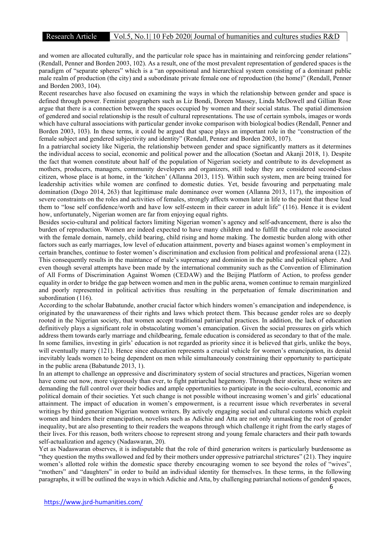and women are allocated culturally, and the particular role space has in maintaining and reinforcing gender relations" (Rendall, Penner and Borden 2003, 102). As a result, one of the most prevalent representation of gendered spaces is the paradigm of "separate spheres" which is a "an oppositional and hierarchical system consisting of a dominant public male realm of production (the city) and a subordinate private female one of reproduction (the home)" (Rendall, Penner and Borden 2003, 104).

Recent researches have also focused on examining the ways in which the relationship between gender and space is defined through power. Feminist geographers such as Liz Bondi, Doreen Massey, Linda McDowell and Gillian Rose argue that there is a connection between the spaces occupied by women and their social status. The spatial dimension of gendered and social relationship is the result of cultural representations. The use of certain symbols, images or words which have cultural associations with particular gender invoke comparison with biological bodies (Rendall, Penner and Borden 2003, 103). In these terms, it could be argued that space plays an important role in the "construction of the female subject and gendered subjectivity and identity" (Rendall, Penner and Borden 2003, 107).

In a patriarchal society like Nigeria, the relationship between gender and space significantly matters as it determines the individual access to social, economic and political power and the allocation (Soetan and Akanji 2018, 1). Despite the fact that women constitute about half of the population of Nigerian society and contribute to its development as mothers, producers, managers, community developers and organizers, still today they are considered second-class citizen, whose place is at home, in the 'kitchen' (Allanna 2013, 115). Within such system, men are being trained for leadership activities while women are confined to domestic duties. Yet, beside favouring and perpetuating male domination (Dogo 2014, 263) that legittimase male dominance over women (Allanna 2013, 117), the imposition of severe constraints on the roles and activities of females, strongly affects women later in life to the point that these lead them to "lose self confidence/worth and have low self-esteem in their career in adult life" (116). Hence it is evident how, unfortunately, Nigerian women are far from enjoying equal rights.

Besides socio-cultural and political factors limiting Nigerian women's agency and self-advancement, there is also the burden of reproduction. Women are indeed expected to have many children and to fulfill the cultural role associated with the female domain, namely, child bearing, child rising and home making. The domestic burden along with other factors such as early marriages, low level of education attainment, poverty and biases against women's employment in certain branches, continue to foster women's discrimination and exclusion from political and professional arena (122). This consequently results in the maintance of male's supremacy and dominion in the public and political sphere. And even though several attempts have been made by the international community such as the Convention of Elimination of All Forms of Discrimination Against Women (CEDAW) and the Beijing Platform of Action, to profess gender equality in order to bridge the gap between women and men in the public arena, women continue to remain marginlized and poorly represented in political activities thus resulting in the perpetuation of female discrimination and subordination (116).

According to the scholar Babatunde, another crucial factor which hinders women's emancipation and independence, is originated by the unawareness of their rights and laws which protect them. This because gender roles are so deeply rooted in the Nigerian society, that women accept traditional patriarchal practices. In addition, the lack of education definitively plays a significant role in obstacolating women's emancipation. Given the social pressures on girls which address them towards early marriage and childbearing, female education is considered as secondary to that of the male. In some families, investing in girls' education is not regarded as priority since it is believed that girls, unlike the boys, will eventually marry (121). Hence since education represents a crucial vehicle for women's emancipation, its denial inevitably leads women to being dependent on men while simultaneously constraining their opportunity to participate in the public arena (Babatunde 2013, 1).

In an attempt to challenge an oppressive and discriminatory system of social structures and practices, Nigerian women have come out now, more vigorously than ever, to fight patriarchal hegemony. Through their stories, these writers are demanding the full control over their bodies and ample opportunities to participate in the socio-cultural, economic and political domain of their societies. Yet such change is not possible without increasing women's and girls' educational attainment. The impact of education in women's empowerment, is a recurrent issue which reverberates in several writings by third generation Nigerian women writers. By actively engaging social and cultural customs which exploit women and hinders their emancipation, novelists such as Adichie and Atta are not only unmasking the root of gender inequality, but are also presenting to their readers the weapons through which challenge it right from the early stages of their lives. For this reason, both writers choose to represent strong and young female characters and their path towards self-actualization and agency (Nadaswaran, 20).

Yet as Nadaswaran observes, it is indisputable that the role of third generarion writers is particularly burdensome as "they question the myths swallowed and fed by their mothers under oppressive patriarchal strictures" (21). They inquire women's allotted role within the domestic space thereby encouraging women to see beyond the roles of "wives", "mothers" and "daughters" in order to build an individual identity for themselves. In these terms, in the following paragraphs, it will be outlined the ways in which Adichie and Atta, by challenging patriarchal notions of genderd spaces,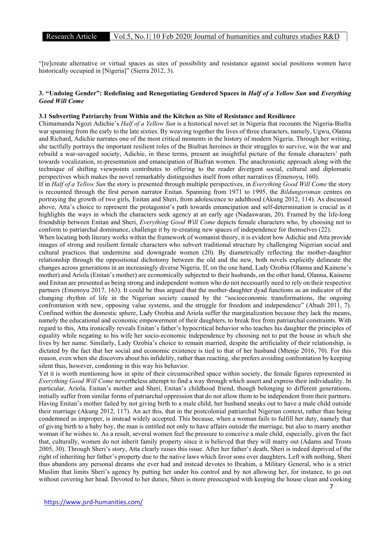"[re]create alternative or virtual spaces as sites of possibility and resistance against social positions women have historically occupied in [Nigeria]" (Sierra 2012, 3).

### 3. "Undoing Gender": Redefining and Renegotiating Gendered Spaces in Half of a Yellow Sun and Everything Good Will Come

#### 3.1 Subverting Patriarchy from Within and the Kitchen as Site of Resistance and Resilience

Chimamanda Ngozi Adichie's Half of a Yellow Sun is a historical novel set in Nigeria that recounts the Nigeria-Biafra war spanning from the early to the late sixties. By weaving together the lives of three characters, namely, Ugwu, Olanna and Richard, Adichie narrates one of the most critical moments in the history of modern Nigeria. Through her writing, she tactfully portrays the important resilient roles of the Biafran heroines in their struggles to survive, win the war and rebuild a war-savaged society, Adichie, in these terms, present an insightful picture of the female characters' path towards vocalization, re-presentation and emancipation of Biafran women. The anachronistic approach along with the technique of shifting viewpoints contributes to offering to the reader divergent social, cultural and diplomatic perspectives which makes the novel remarkably distinguishes itself from other narratives (Emenoyu, 160).

If in Half of a Yellow Sun the story is presented through multiple perspectives, in Everything Good Will Come the story is recounted through the first person narrator Enitan. Spanning from 1971 to 1995, the Bildungsroman centres on portraying the growth of two girls, Enitan and Sheri, from adolescence to adulthood (Akung 2012, 114). As discussed above, Atta's choice to represent the protagonist's path towards emancipation and self-determination is crucial as it highlights the ways in which the characters seek agency at an early age (Nadaswaran, 20). Framed by the life-long friendship between Enitan and Sheri, Everything Good Will Come depicts female characters who, by choosing not to conform to patriarchal dominance, challenge it by re-creating new spaces of independence for themselves (22).

When locating both literary works within the framework of womanist theory, it is evident how Adichie and Atta provide images of strong and resilient female characters who subvert traditional structure by challenging Nigerian social and cultural practices that undermine and downgrade women (20). By diametrically reflecting the mother-daughter relationship through the oppositional dichotomy between the old and the new, both novels explicitly delineate the changes across generations in an increasingly diverse Nigeria. If, on the one hand, Lady Ozobia (Olanna and Kainene's mother) and Ariola (Enitan's mother) are economically subjected to their husbands, on the other hand, Olanna, Kainene and Enitan are presented as being strong and independent women who do not necessarily need to rely on their respective partners (Emenoyu 2017, 163). It could be thus argued that the mother-daughter dyad functions as an indicator of the changing rhythm of life in the Nigerian society caused by the "socioeconomic transformations, the ongoing confrontation with new, opposing value systems, and the struggle for freedom and independence" (Abudi 2011, 7). Confined within the domestic sphere, Lady Ozobia and Ariola suffer the marginalization because they lack the means, namely the educational and economic empowerment of their daughters, to break free from patriarchal constraints. With regard to this, Atta ironically reveals Enitan's father's hypocritical behavior who teaches his daughter the principles of equality while negating to his wife her socio-economic independence by choosing not to put the house in which she lives by her name. Similarly, Lady Ozobia's choice to remain married, despite the artificiality of their relationship, is dictated by the fact that her social and economic existence is tied to that of her husband (Mtenje 2016, 70). For this reason, even when she discovers about his infidelity, rather than reacting, she prefers avoiding confrontation by keeping silent thus, however, condoning in this way his behavior.

Yet it is worth mentioning how in spite of their circumscribed space within society, the female figures represented in Everything Good Will Come nevertheless attempt to find a way through which assert and express their individuality. In particular, Ariola, Enitan's mother and Sheri, Enitan's childhood friend, though belonging to different generations, initially suffer from similar forms of patriarchal oppression that do not allow them to be independent from their partners. Having Enitan's mother failed by not giving birth to a male child, her husband sneaks out to have a male child outside their marriage (Akung 2012, 117). An act this, that in the postcolonial patriarchal Nigerian context, rather than being condemned as improper, is instead widely accepted. This because, when a woman fails to fulfill her duty, namely that of giving birth to a baby boy, the man is entitled not only to have affairs outside the marriage, but also to marry another woman if he wishes to. As a result, several women feel the pressure to conceive a male child, especially, given the fact that, culturally, women do not inherit family property since it is believed that they will marry out (Adams and Trosts 2005, 30). Through Sheri's story, Atta clearly raises this issue. After her father's death, Sheri is indeed deprived of the right of inheriting her father's property due to the native laws which favor sons over daughters. Left with nothing, Sheri thus abandons any personal dreams she ever had and instead devotes to Ibrahim, a Military General, who is a strict Muslim that limits Sheri's agency by putting her under his control and by not allowing her, for instance, to go out without covering her head. Devoted to her duties, Sheri is more preoccupied with keeping the house clean and cooking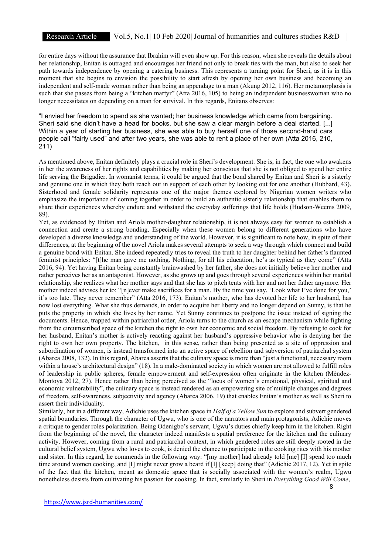for entire days without the assurance that Ibrahim will even show up. For this reason, when she reveals the details about her relationship, Enitan is outraged and encourages her friend not only to break ties with the man, but also to seek her path towards independence by opening a catering business. This represents a turning point for Sheri, as it is in this moment that she begins to envision the possibility to start afresh by opening her own business and becoming an independent and self-made woman rather than being an appendage to a man (Akung 2012, 116). Her metamorphosis is such that she passes from being a "kitchen martyr" (Atta 2016, 105) to being an independent businesswoman who no longer necessitates on depending on a man for survival. In this regards, Enitans observes:

"I envied her freedom to spend as she wanted; her business knowledge which came from bargaining. Sheri said she didn't have a head for books, but she saw a clear margin before a deal started. [...] Within a year of starting her business, she was able to buy herself one of those second-hand cars people call "fairly used" and after two years, she was able to rent a place of her own (Atta 2016, 210, 211)

As mentioned above, Enitan definitely plays a crucial role in Sheri's development. She is, in fact, the one who awakens in her the awareness of her rights and capabilities by making her conscious that she is not obliged to spend her entire life serving the Brigadier. In womanist terms, it could be argued that the bond shared by Enitan and Sheri is a sisterly and genuine one in which they both reach out in support of each other by looking out for one another (Hubbard, 43). Sisterhood and female solidarity represents one of the major themes explored by Nigerian women writers who emphasize the importance of coming together in order to build an authentic sisterly relationship that enables them to share their experiences whereby endure and withstand the everyday sufferings that life holds (Hudson-Weems 2009, 89).

Yet, as evidenced by Enitan and Ariola mother-daughter relationship, it is not always easy for women to establish a connection and create a strong bonding. Especially when these women belong to different generations who have developed a diverse knowledge and understanding of the world. However, it is significant to note how, in spite of their differences, at the beginning of the novel Ariola makes several attempts to seek a way through which connect and build a genuine bond with Enitan. She indeed repeatedly tries to reveal the truth to her daughter behind her father's flaunted feminist principles: "[t]he man gave me nothing. Nothing, for all his education, he's as typical as they come" (Atta 2016, 94). Yet having Enitan being constantly brainwashed by her father, she does not initially believe her mother and rather perceives her as an antagonist. However, as she grows up and goes through several experiences within her marital relationship, she realizes what her mother says and that she has to pitch tents with her and not her father anymore. Her mother indeed advises her to: "[n]ever make sacrifices for a man. By the time you say, 'Look what I've done for you,' it's too late. They never remember" (Atta 2016, 173). Enitan's mother, who has devoted her life to her husband, has now lost everything. What she thus demands, in order to acquire her liberty and no longer depend on Sunny, is that he puts the property in which she lives by her name. Yet Sunny continues to postpone the issue instead of signing the documents. Hence, trapped within patriarchal order, Ariola turns to the church as an escape mechanism while fighting from the circumscribed space of the kitchen the right to own her economic and social freedom. By refusing to cook for her husband, Enitan's mother is actively reacting against her husband's oppressive behavior who is denying her the right to own her own property. The kitchen, in this sense, rather than being presented as a site of oppression and subordination of women, is instead transformed into an active space of rebellion and subversion of patriarchal system (Abarca 2008, 132). In this regard, Abarca asserts that the culinary space is more than "just a functional, necessary room within a house's architectural design" (18). In a male-dominated society in which women are not allowed to fulfill roles of leadership in public spheres, female empowerment and self-expression often originate in the kitchen (Mèndez-Montoya 2012, 27). Hence rather than being perceived as the "locus of women's emotional, physical, spiritual and economic vulnerability", the culinary space is instead rendered as an empowering site of multiple changes and degrees of freedom, self-awareness, subjectivity and agency (Abarca 2006, 19) that enables Enitan's mother as well as Sheri to assert their individuality.

Similarly, but in a different way, Adichie uses the kitchen space in Half of a Yellow Sun to explore and subvert gendered spatial boundaries. Through the character of Ugwu, who is one of the narrators and main protagonists, Adichie moves a critique to gender roles polarization. Being Odenigbo's servant, Ugwu's duties chiefly keep him in the kitchen. Right from the beginning of the novel, the character indeed manifests a spatial preference for the kitchen and the culinary activity. However, coming from a rural and patriarchal context, in which gendered roles are still deeply rooted in the cultural belief system, Ugwu who loves to cook, is denied the chance to participate in the cooking rites with his mother and sister. In this regard, he commends in the following way: "[my mother] had already told [me] [I] spend too much time around women cooking, and [I] might never grow a beard if [I] [keep] doing that" (Adichie 2017, 12). Yet in spite of the fact that the kitchen, meant as domestic space that is socially associated with the women's realm, Ugwu nonetheless desists from cultivating his passion for cooking. In fact, similarly to Sheri in Everything Good Will Come,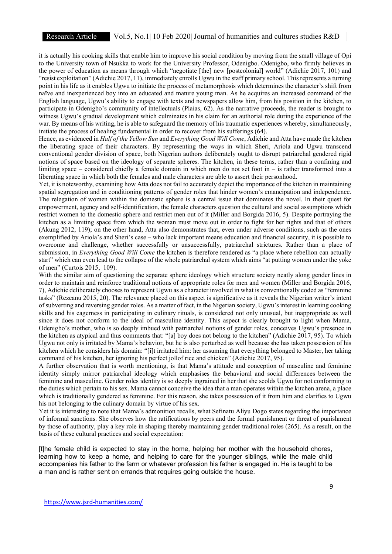# Research Article Vol.5, No.1| 10 Feb 2020| Journal of humanities and cultures studies R&D

it is actually his cooking skills that enable him to improve his social condition by moving from the small village of Opi to the University town of Nsukka to work for the University Professor, Odenigbo. Odenigbo, who firmly believes in the power of education as means through which "negotiate [the] new [postcolonial] world" (Adichie 2017, 101) and "resist exploitation" (Adichie 2017, 11), immediately enrolls Ugwu in the staff primary school. This represents a turning point in his life as it enables Ugwu to initiate the process of metamorphosis which determines the character's shift from naïve and inexperienced boy into an educated and mature young man. As he acquires an increased command of the English language, Ugwu's ability to engage with texts and newspapers allow him, from his position in the kitchen, to participate in Odenigbo's community of intellectuals (Plaias, 62). As the narrative proceeds, the reader is brought to witness Ugwu's gradual development which culminates in his claim for an authorial role during the experience of the war. By means of his writing, he is able to safeguard the memory of his traumatic experiences whereby, simultaneously, initiate the process of healing fundamental in order to recover from his sufferings (64).

Hence, as evidenced in Half of the Yellow Sun and Everything Good Will Come, Adichie and Atta have made the kitchen the liberating space of their characters. By representing the ways in which Sheri, Ariola and Ugwu transcend conventional gender division of space, both Nigerian authors deliberately ought to disrupt patriarchal gendered rigid notions of space based on the ideology of separate spheres. The kitchen, in these terms, rather than a confining and limiting space – considered chiefly a female domain in which men do not set foot in – is rather transformed into a liberating space in which both the females and male characters are able to assert their personhood.

Yet, it is noteworthy, examining how Atta does not fail to accurately depict the importance of the kitchen in maintaining spatial segregation and in conditioning patterns of gender roles that hinder women's emancipation and independence. The relegation of women within the domestic sphere is a central issue that dominates the novel. In their quest for empowerment, agency and self-identification, the female characters question the cultural and social assumptions which restrict women to the domestic sphere and restrict men out of it (Miller and Borgida 2016, 5). Despite portraying the kitchen as a limiting space from which the woman must move out in order to fight for her rights and that of others (Akung 2012, 119); on the other hand, Atta also demonstrates that, even under adverse conditions, such as the ones exemplified by Ariola's and Sheri's case – who lack important means education and financial security, it is possible to overcome and challenge, whether successfully or unsuccessfully, patriarchal strictures. Rather than a place of submission, in Everything Good Will Come the kitchen is therefore rendered as "a place where rebellion can actually start" which can even lead to the collapse of the whole patriarchal system which aims "at putting women under the yoke of men" (Curtois 2015, 109).

With the similar aim of questioning the separate sphere ideology which structure society neatly along gender lines in order to maintain and reinforce traditional notions of appropriate roles for men and women (Miller and Borgida 2016, 7), Adichie deliberately chooses to represent Ugwu as a character involved in what is conventionally coded as "feminine tasks" (Rezeanu 2015, 20). The relevance placed on this aspect is significative as it reveals the Nigerian writer's intent of subverting and reversing gender roles. As a matter of fact, in the Nigerian society, Ugwu's interest in learning cooking skills and his eagerness in participating in culinary rituals, is considered not only unusual, but inappropriate as well since it does not conform to the ideal of masculine identity. This aspect is clearly brought to light when Mama, Odenigbo's mother, who is so deeply imbued with patriarchal notions of gender roles, conceives Ugwu's presence in the kitchen as atypical and thus comments that: "[a] boy does not belong to the kitchen" (Adichie 2017, 95). To which Ugwu not only is irritated by Mama's behavior, but he is also perturbed as well because she has taken possession of his kitchen which he considers his domain: "[i]t irritated him: her assuming that everything belonged to Master, her taking command of his kitchen, her ignoring his perfect jollof rice and chicken" (Adichie 2017, 95).

A further observation that is worth mentioning, is that Mama's attitude and conception of masculine and feminine identity simply mirror patriarchal ideology which emphasises the behavioral and social differences between the feminine and masculine. Gender roles identity is so deeply ingrained in her that she scolds Ugwu for not conforming to the duties which pertain to his sex. Mama cannot conceive the idea that a man operates within the kitchen arena, a place which is traditionally gendered as feminine. For this reason, she takes possession of it from him and clarifies to Ugwu his not belonging to the culinary domain by virtue of his sex.

Yet it is interesting to note that Mama's admonition recalls, what Sefinatu Aliyu Dogo states regarding the importance of informal sanctions. She observes how the ratifications by peers and the formal punishment or threat of punishment by those of authority, play a key role in shaping thereby maintaining gender traditional roles (265). As a result, on the basis of these cultural practices and social expectation:

[t]he female child is expected to stay in the home, helping her mother with the household chores, learning how to keep a home, and helping to care for the younger siblings, while the male child accompanies his father to the farm or whatever profession his father is engaged in. He is taught to be a man and is rather sent on errands that requires going outside the house.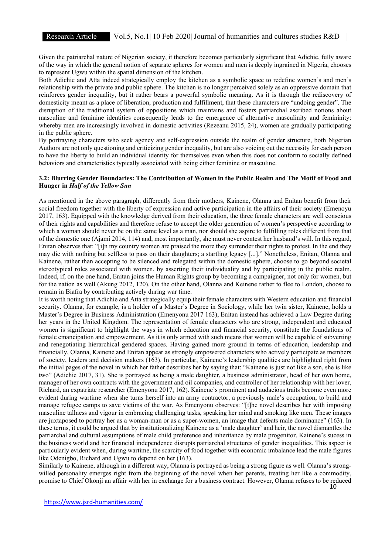Given the patriarchal nature of Nigerian society, it therefore becomes particularly significant that Adichie, fully aware of the way in which the general notion of separate spheres for women and men is deeply ingrained in Nigeria, chooses to represent Ugwu within the spatial dimension of the kitchen.

Both Adichie and Atta indeed strategically employ the kitchen as a symbolic space to redefine women's and men's relationship with the private and public sphere. The kitchen is no longer perceived solely as an oppressive domain that reinforces gender inequality, but it rather bears a powerful symbolic meaning. As it is through the rediscovery of domesticity meant as a place of liberation, production and fulfillment, that these characters are "undoing gender". The disruption of the traditional system of oppositions which maintains and fosters patriarchal ascribed notions about masculine and feminine identities consequently leads to the emergence of alternative masculinity and femininity: whereby men are increasingly involved in domestic activities (Rezeanu 2015, 24), women are gradually participating in the public sphere.

By portraying characters who seek agency and self-expression outside the realm of gender structure, both Nigerian Authors are not only questioning and criticizing gender inequality, but are also voicing out the necessity for each person to have the liberty to build an individual identity for themselves even when this does not conform to socially defined behaviors and characteristics typically associated with being either feminine or masculine.

#### 3.2: Blurring Gender Boundaries: The Contribution of Women in the Public Realm and The Motif of Food and Hunger in Half of the Yellow Sun

As mentioned in the above paragraph, differently from their mothers, Kainene, Olanna and Enitan benefit from their social freedom together with the liberty of expression and active participation in the affairs of their society (Emenoyu 2017, 163). Equipped with the knowledge derived from their education, the three female characters are well conscious of their rights and capabilities and therefore refuse to accept the older generation of women's perspective according to which a woman should never be on the same level as a man, nor should she aspire to fulfilling roles different from that of the domestic one (Ajami 2014, 114) and, most importantly, she must never contest her husband's will. In this regard, Enitan observes that: "[i]n my country women are praised the more they surrender their rights to protest. In the end they may die with nothing but selfless to pass on their daughters; a startling legacy [...]." Nonetheless, Enitan, Olanna and Kainene, rather than accepting to be silenced and relegated within the domestic sphere, choose to go beyond societal stereotypical roles associated with women, by asserting their individuality and by participating in the public realm. Indeed, if, on the one hand, Enitan joins the Human Rights group by becoming a campaigner, not only for women, but for the nation as well (Akung 2012, 120). On the other hand, Olanna and Keinene rather to flee to London, choose to remain in Biafra by contributing actively during war time.

It is worth noting that Adichie and Atta strategically equip their female characters with Western education and financial security. Olanna, for example, is a holder of a Master's Degree in Sociology, while her twin sister, Kainene, holds a Master's Degree in Business Administration (Emenyonu 2017 163), Enitan instead has achieved a Law Degree during her years in the United Kingdom. The representation of female characters who are strong, independent and educated women is significant to highlight the ways in which education and financial security, constitute the foundations of female emancipation and empowerment. As it is only armed with such means that women will be capable of subverting and renegotiating hierarchical gendered spaces. Having gained more ground in terms of education, leadership and financially, Olanna, Kainene and Enitan appear as strongly empowered characters who actively participate as members of society, leaders and decision makers (163). In particular, Kainene's leadership qualities are highlighted right from the initial pages of the novel in which her father describes her by saying that: "Kainene is just not like a son, she is like two" (Adichie 2017, 31). She is portrayed as being a male daughter, a business administrator, head of her own home, manager of her own contracts with the government and oil companies, and controller of her relationship with her lover, Richard, an expatriate researcher (Emenyonu 2017, 162). Kainene's prominent and audacious traits become even more evident during wartime when she turns herself into an army contractor, a previously male's occupation, to build and manage refugee camps to save victims of the war. As Emenyonu observes: "[t]he novel describes her with imposing masculine tallness and vigour in embracing challenging tasks, speaking her mind and smoking like men. These images are juxtaposed to portray her as a woman-man or as a super-women, an image that defeats male dominance" (163). In these terms, it could be argued that by institutionalizing Kainene as a 'male daughter' and heir, the novel dismantles the patriarchal and cultural assumptions of male child preference and inheritance by male progenitor. Kainene's sucess in the business world and her financial independence disrupts patriarchal structures of gender inequalities. This aspect is particularly evident when, during wartime, the scarcity of food together with economic imbalance lead the male figures like Odenigbo, Richard and Ugwu to depend on her (163).

Similarly to Kainene, although in a different way, Olanna is portrayed as being a strong figure as well. Olanna's strongwilled personality emerges right from the beginning of the novel when her parents, treating her like a commodity, promise to Chief Okonji an affair with her in exchange for a business contract. However, Olanna refuses to be reduced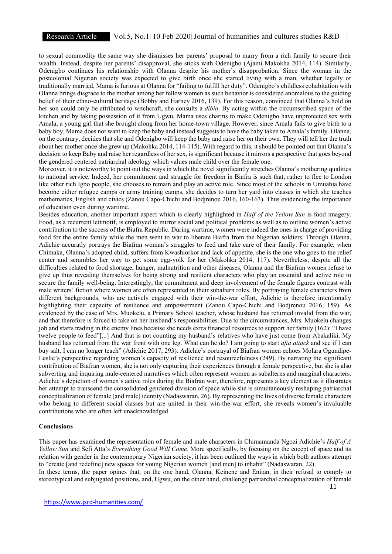# Research Article Vol.5, No.1| 10 Feb 2020| Journal of humanities and cultures studies R&D

to sexual commodity the same way she dismisses her parents' proposal to marry from a rich family to secure their wealth. Instead, despite her parents' disapproval, she sticks with Odenigbo (Ajami Makokha 2014, 114). Similarly, Odenigbo continues his relationship with Olanna despite his mother's disapprobation. Since the woman in the postcolonial Nigerian society was expected to give birth once she started living with a man, whether legally or traditionally married, Mama is furious at Olanna for "failing to fulfill her duty". Odenigbo's childless cohabitation with Olanna brings disgrace to the mother among her fellow women as such behavior is considered anomalous to the guiding belief of their ethno-cultural heritage (Bobby and Harney 2016, 139). For this reason, convinced that Olanna's hold on her son could only be attributed to witchcraft, she consults a *dibia*. By acting within the circumscribed space of the kitchen and by taking possession of it from Ugwu, Mama uses charms to make Odenigbo have unprotected sex with Amala, a young girl that she brought along from her home-town village. However, since Amala fails to give birth to a baby boy, Mama does not want to keep the baby and instead suggests to have the baby taken to Amala's family. Olanna, on the contrary, decides that she and Odenigbo will keep the baby and raise her on their own. They will tell her the truth about her mother once she grew up (Makohka 2014, 114-115). With regard to this, it should be pointed out that Olanna's decision to keep Baby and raise her regardless of her sex, is significant because it mirrors a perspective that goes beyond the gendered centered patriarchal ideology which values male child over the female one.

Moreover, it is noteworthy to point out the ways in which the novel significantly stretches Olanna's mothering qualities to national service. Indeed, her commitment and struggle for freedom in Biafra is such that, rather to flee to London like other rich Igbo people, she chooses to remain and play an active role. Since most of the schools in Umuahia have become either refugee camps or army training camps, she decides to turn her yard into classes in which she teaches mathematics, English and civics (Zanou Capo-Chichi and Bodjrenou 2016, 160-163). Thus evidencing the importance of education even during wartime.

Besides education, another important aspect which is clearly highlighted in *Half of the Yellow Sun* is food imagery. Food, as a recurrent leitmotif, is employed to mirror social and political problems as well as to outline women's active contribution to the success of the Biafra Republic. During wartime, women were indeed the ones in charge of providing food for the entire family while the men went to war to liberate Biafra from the Nigerian soldiers. Through Olanna, Adichie accuratly portrays the Biafran woman's struggles to feed and take care of their family. For example, when Chimaka, Olanna's adopted child, suffers from Kwashiorkor and lack of appetite, she is the one who goes to the relief center and scrambles her way to get some egg-yolk for her (Makohka 2014, 117). Nevertheless, despite all the difficulties related to food shortage, hunger, malnutrition and other diseases, Olanna and the Biafran women refuse to give up thus revealing themselves for being strong and resilient characters who play an essential and active role to secure the family well-being. Interestingly, the commitment and deep involvement of the female figures contrast with male writers' fiction where women are often represented in their subaltern roles. By portraying female characters from different backgrounds, who are actively engaged with their win-the-war effort, Adichie is therefore intentionally highlighting their capacity of resilience and empowerment (Zanou Capo-Chichi and Bodjrenou 2016, 159). As evidenced by the case of Mrs. Muokelu, a Primary School teacher, whose husband has returned invalid from the war, and that therefore is forced to take on her husband's responsibilities. Due to the circumstances, Mrs. Muokelu changes job and starts trading in the enemy lines because she needs extra financial resources to support her family (162): "I have twelve people to feed"[...] And that is not counting my husband's relatives who have just come from Abakaliki. My husband has returned from the war front with one leg. What can he do? I am going to start *afia attack* and see if I can buy salt. I can no longer teach" (Adichie 2017, 293). Adichie's portrayal of Biafran women echoes Molara Ogundipe-Leslie's perspective regarding women's capacity of resilience and resourcefulness (249). By narrating the significant contribution of Biafran women, she is not only capturing their experiences through a female perspective, but she is also subverting and inquiring male-centered narratives which often represent women as subalterns and marginal characters. Adichie's depiction of women's active roles during the Biafran war, therefore, represents a key element as it illustrates her attempt to transcend the consolidated gendered division of space while she is simultaneously reshaping patriarchal conceptualization of female (and male) identity (Nadaswaran, 26). By representing the lives of diverse female characters who belong to different social classes but are united in their win-the-war effort, she reveals women's invaluable contributions who are often left unacknowledged.

#### **Conclusions**

This paper has examined the representation of female and male characters in Chimamanda Ngozi Adichie's Half of A Yellow Sun and Sefi Atta's Everything Good Will Come. More specifically, by focusing on the cocept of space and its relation with gender in the contemporary Nigerian society, it has been outlined the ways in which both authors attempt to "create [and redefine] new spaces for young Nigerian women [and men] to inhabit" (Nadaswaran, 22). In these terms, the paper opines that, on the one hand, Olanna, Keinene and Enitan, in their refusal to comply to stereotypical and subjugated positions, and, Ugwu, on the other hand, challenge patriarchal conceptualization of female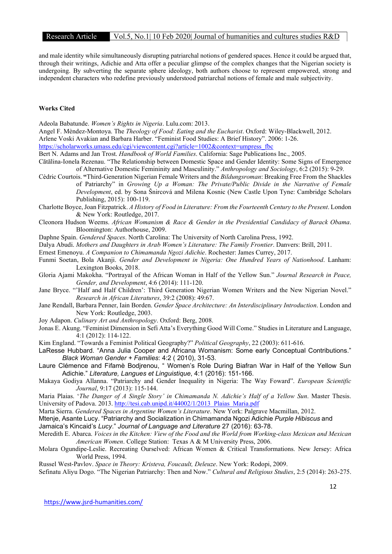and male identity while simultaneously disrupting patriarchal notions of gendered spaces. Hence it could be argued that, through their writings, Adichie and Atta offer a peculiar glimpse of the complex changes that the Nigerian society is undergoing. By subverting the separate sphere ideology, both authors choose to represent empowered, strong and independent characters who redefine previously understood patriarchal notions of female and male subjectivity.

#### Works Cited

Adeola Babatunde. Women's Rights in Nigeria. Lulu.com: 2013.

Angel F. Mèndez-Montoya. The Theology of Food: Eating and the Eucharist. Oxford: Wiley-Blackwell, 2012.

Arlene Voski Avakian and Barbara Harber. "Feminist Food Studies: A Brief History". 2006: 1-26.

https://scholarworks.umass.edu/cgi/viewcontent.cgi?article=1002&context=umpress\_fbc

Bert N. Adams and Jan Trost. Handbook of World Families. California: Sage Publications Inc., 2005.

- Cātālina-Ionela Rezenau. "The Relationship between Domestic Space and Gender Identity: Some Signs of Emergence of Alternative Domestic Femininity and Masculinity." Anthropology and Sociology, 6:2 (2015): 9-29.
- Cèdric Courtois. "Third-Generation Nigerian Female Writers and the Bildungsroman: Breaking Free From the Shackles of Patriarchy" in Growing Up a Woman: The Private/Public Divide in the Narrative of Female Development, ed. by Sona Šnircová and Milena Kosnic (New Castle Upon Tyne: Cambridge Scholars Publishing, 2015): 100-119.
- Charlotte Boyce, Joan Fitzpatrick. A History of Food in Literature: From the Fourteenth Century to the Present. London & New York: Routledge, 2017.
- Cleonora Hudson Weems. African Womanism & Race & Gender in the Presidential Candidacy of Barack Obama. Bloomington: Authorhouse, 2009.
- Daphne Spain. Gendered Spaces. North Carolina: The University of North Carolina Press, 1992.

Dalya Abudi. Mothers and Daughters in Arab Women's Literature: The Family Frontier. Danvers: Brill, 2011.

Ernest Emenoyu. A Companion to Chimamanda Ngozi Adichie. Rochester: James Currey, 2017.

- Funmi Soetan, Bola Akanji. Gender and Development in Nigeria: One Hundred Years of Nationhood. Lanham: Lexington Books, 2018.
- Gloria Ajami Makokha. "Portrayal of the African Woman in Half of the Yellow Sun." Journal Research in Peace, Gender, and Development, 4:6 (2014): 111-120.

Jane Bryce. "'Half and Half Children': Third Generation Nigerian Women Writers and the New Nigerian Novel." Research in African Literatures, 39:2 (2008): 49:67.

- Jane Rendall, Barbara Penner, Iain Borden. Gender Space Architecture: An Interdisciplinary Introduction. London and New York: Routledge, 2003.
- Joy Adapon. Culinary Art and Anthropology. Oxford: Berg, 2008.
- Jonas E. Akung. "Feminist Dimension in Sefi Atta's Everything Good Will Come." Studies in Literature and Language, 4:1 (2012): 114-122.

Kim England. "Towards a Feminist Political Geography?" Political Geography, 22 (2003): 611-616.

LaResse Hubbard. "Anna Julia Cooper and Africana Womanism: Some early Conceptual Contributions." Black Woman Gender + Families: 4:2 ( 2010), 31-53.

- Laure Clémence and Fifamè Bodjrenou, " Women's Role During Biafran War in Half of the Yellow Sun Adichie." Literature, Langues et Linguistique, 4:1 (2016): 151-166.
- Makaya Godiya Allanna. "Patriarchy and Gender Inequality in Nigeria: The Way Foward". European Scientific Journal, 9:17 (2013): 115-144.

Maria Plaias. 'The Danger of A Single Story' in Chimamanda N. Adichie's Half of a Yellow Sun. Master Thesis. University of Padova. 2013. http://tesi.cab.unipd.it/44002/1/2013\_Plaias\_Maria.pdf

Marta Sierra. Gendered Spaces in Argentine Women's Literature. New York: Palgrave Macmillan, 2012.

- Mtenje, Asante Lucy. "Patriarchy and Socialization in Chimamanda Ngozi Adichie Purple Hibiscus and Jamaica's Kincaid's Lucy." Journal of Language and Literature 27 (2016): 63-78.
- Meredith E. Abarca. Voices in the Kitchen: View of the Food and the World from Working-class Mexican and Mexican American Women. College Station: Texas A & M University Press, 2006.
- Molara Ogundipe-Leslie. Recreating Ourselved: African Women & Critical Transformations. New Jersey: Africa World Press, 1994.

Russel West-Pavlov. Space in Theory: Kristeva, Foucault, Deleuze. New York: Rodopi, 2009.

Sefinatu Aliyu Dogo. "The Nigerian Patriarchy: Then and Now." Cultural and Religious Studies, 2:5 (2014): 263-275.

https://www.jsrd-humanities.com/